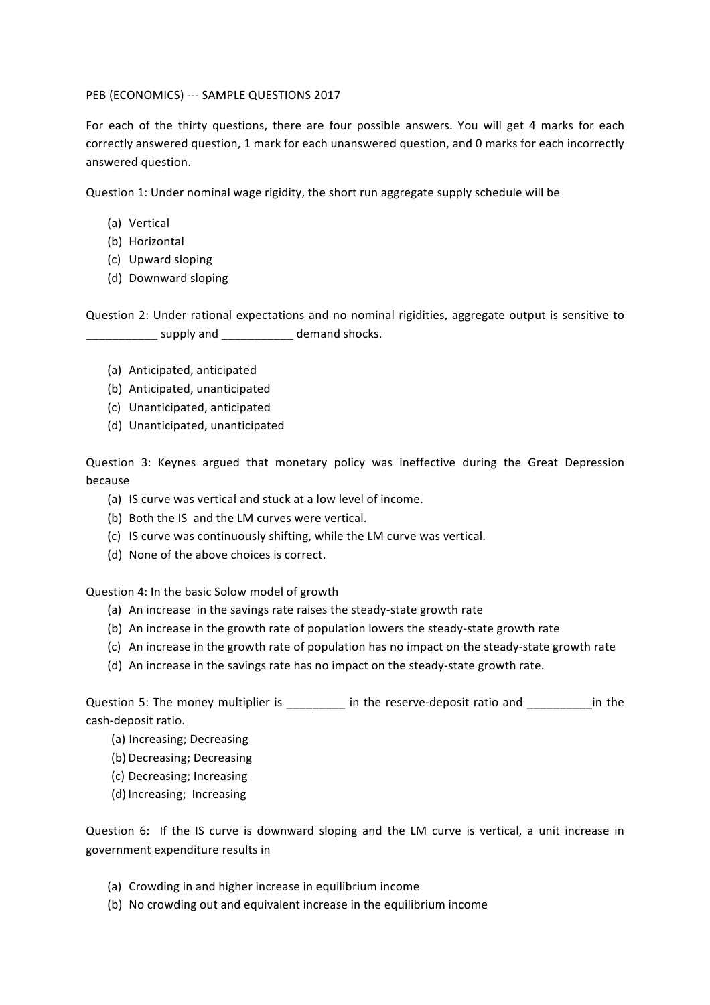PEB (ECONOMICS) --- SAMPLE QUESTIONS 2017

For each of the thirty questions, there are four possible answers. You will get 4 marks for each correctly answered question, 1 mark for each unanswered question, and 0 marks for each incorrectly answered question.

Question 1: Under nominal wage rigidity, the short run aggregate supply schedule will be

- (a) Vertical
- (b) Horizontal
- (c) Upward sloping
- (d) Downward sloping

Question 2: Under rational expectations and no nominal rigidities, aggregate output is sensitive to supply and demand shocks.

- (a) Anticipated, anticipated
- (b) Anticipated, unanticipated
- (c) Unanticipated, anticipated
- (d) Unanticipated, unanticipated

Question 3: Keynes argued that monetary policy was ineffective during the Great Depression because

- (a) IS curve was vertical and stuck at a low level of income.
- (b) Both the IS and the LM curves were vertical.
- (c) IS curve was continuously shifting, while the LM curve was vertical.
- (d) None of the above choices is correct.

Question 4: In the basic Solow model of growth

- (a) An increase in the savings rate raises the steady-state growth rate
- (b) An increase in the growth rate of population lowers the steady-state growth rate
- (c) An increase in the growth rate of population has no impact on the steady-state growth rate
- (d) An increase in the savings rate has no impact on the steady-state growth rate.

Question 5: The money multiplier is \_\_\_\_\_\_\_\_\_\_ in the reserve-deposit ratio and \_\_\_\_\_\_\_ in the cash-deposit ratio.

- (a) Increasing; Decreasing
- (b) Decreasing; Decreasing
- (c) Decreasing; Increasing
- (d) Increasing; Increasing

Question 6: If the IS curve is downward sloping and the LM curve is vertical, a unit increase in government expenditure results in

- (a) Crowding in and higher increase in equilibrium income
- (b) No crowding out and equivalent increase in the equilibrium income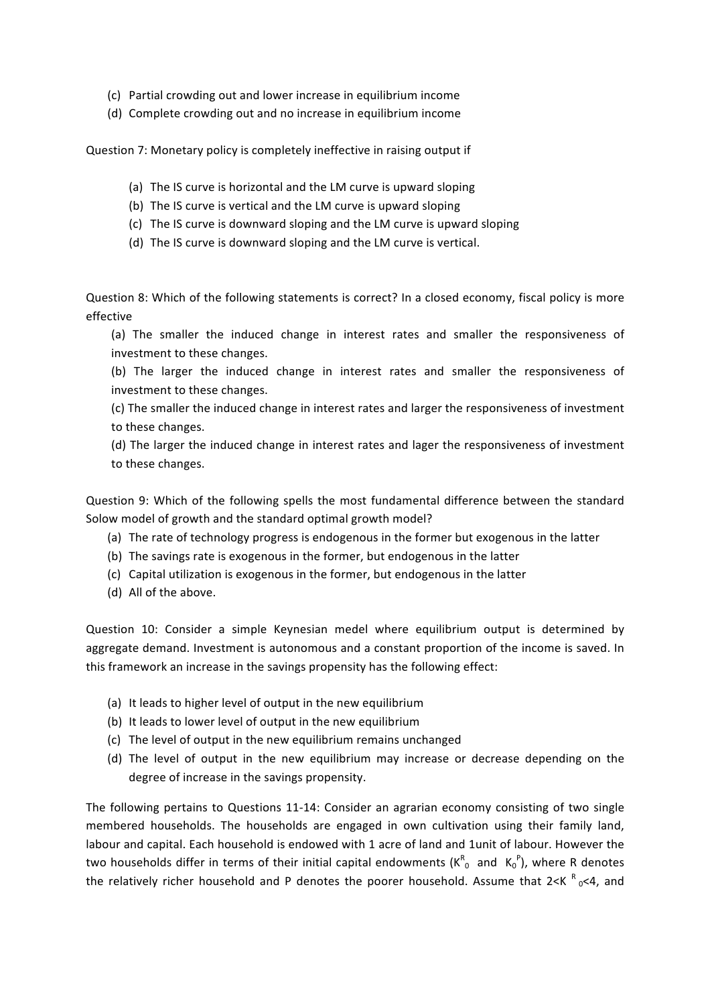- (c) Partial crowding out and lower increase in equilibrium income
- (d) Complete crowding out and no increase in equilibrium income

Question 7: Monetary policy is completely ineffective in raising output if

- (a) The IS curve is horizontal and the LM curve is upward sloping
- (b) The IS curve is vertical and the LM curve is upward sloping
- (c) The IS curve is downward sloping and the LM curve is upward sloping
- (d) The IS curve is downward sloping and the LM curve is vertical.

Question 8: Which of the following statements is correct? In a closed economy, fiscal policy is more effective

(a) The smaller the induced change in interest rates and smaller the responsiveness of investment to these changes.

(b) The larger the induced change in interest rates and smaller the responsiveness of investment to these changes.

(c) The smaller the induced change in interest rates and larger the responsiveness of investment to these changes.

(d) The larger the induced change in interest rates and lager the responsiveness of investment to these changes.

Question 9: Which of the following spells the most fundamental difference between the standard Solow model of growth and the standard optimal growth model?

- (a) The rate of technology progress is endogenous in the former but exogenous in the latter
- (b) The savings rate is exogenous in the former, but endogenous in the latter
- (c) Capital utilization is exogenous in the former, but endogenous in the latter
- (d) All of the above.

Question 10: Consider a simple Keynesian medel where equilibrium output is determined by aggregate demand. Investment is autonomous and a constant proportion of the income is saved. In this framework an increase in the savings propensity has the following effect:

- (a) It leads to higher level of output in the new equilibrium
- (b) It leads to lower level of output in the new equilibrium
- (c) The level of output in the new equilibrium remains unchanged
- (d) The level of output in the new equilibrium may increase or decrease depending on the degree of increase in the savings propensity.

The following pertains to Questions 11-14: Consider an agrarian economy consisting of two single membered households. The households are engaged in own cultivation using their family land, labour and capital. Each household is endowed with 1 acre of land and 1unit of labour. However the two households differ in terms of their initial capital endowments  $(K^R_{0}$  and  $K_0^P$ ), where R denotes the relatively richer household and P denotes the poorer household. Assume that 2<K  $^{\text{R}}$  <sub>0</sub><4, and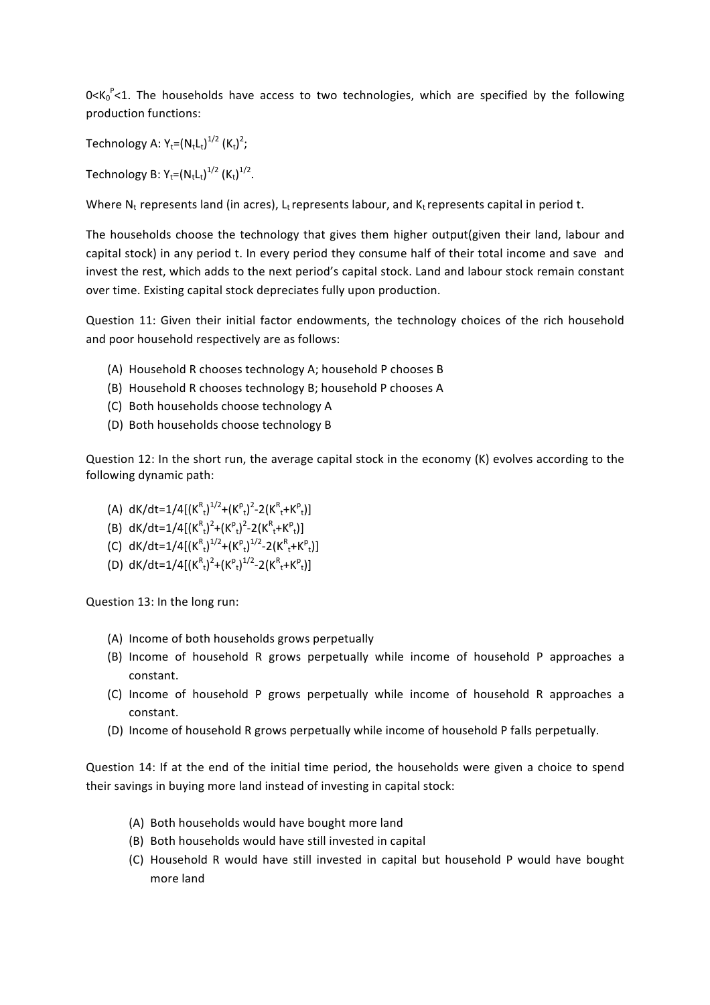$0<$ K<sub>0</sub> $^P$ <1. The households have access to two technologies, which are specified by the following production functions:

Technology A:  $Y_t=(N_tL_t)^{1/2}$   $(K_t)^2$ ;

Technology B:  $Y_t=(N_tL_t)^{1/2}$   $(K_t)^{1/2}$ .

Where  $N_t$  represents land (in acres),  $L_t$  represents labour, and  $K_t$  represents capital in period t.

The households choose the technology that gives them higher output(given their land, labour and capital stock) in any period t. In every period they consume half of their total income and save and invest the rest, which adds to the next period's capital stock. Land and labour stock remain constant over time. Existing capital stock depreciates fully upon production.

Question 11: Given their initial factor endowments, the technology choices of the rich household and poor household respectively are as follows:

- (A) Household R chooses technology A; household P chooses B
- (B) Household R chooses technology B; household P chooses A
- (C) Both households choose technology A
- (D) Both households choose technology B

Question 12: In the short run, the average capital stock in the economy  $(K)$  evolves according to the following dynamic path:

- (A)  $dK/dt = 1/4[(K_{t}^{R})^{1/2}+(K_{t}^{P})^{2}-2(K_{t}^{R}+K_{t}^{P})]$
- (B)  $dK/dt = 1/4[(K_{t}^{R})^{2} + (K_{t}^{P})^{2} 2(K_{t}^{R} + K_{t}^{P})]$
- (C)  $dK/dt = 1/4[(K_{t}^{R})^{1/2} + (K_{t}^{P})^{1/2} 2(K_{t}^{R} + K_{t}^{P})]$
- (D)  $dK/dt = 1/4[(K_{t}^{R})^{2} + (K_{t}^{P})^{1/2} 2(K_{t}^{R} + K_{t}^{P})]$

Question 13: In the long run:

- (A) Income of both households grows perpetually
- (B) Income of household R grows perpetually while income of household P approaches a constant.
- (C) Income of household P grows perpetually while income of household R approaches a constant.
- (D) Income of household R grows perpetually while income of household P falls perpetually.

Question 14: If at the end of the initial time period, the households were given a choice to spend their savings in buying more land instead of investing in capital stock:

- (A) Both households would have bought more land
- (B) Both households would have still invested in capital
- (C) Household R would have still invested in capital but household P would have bought more land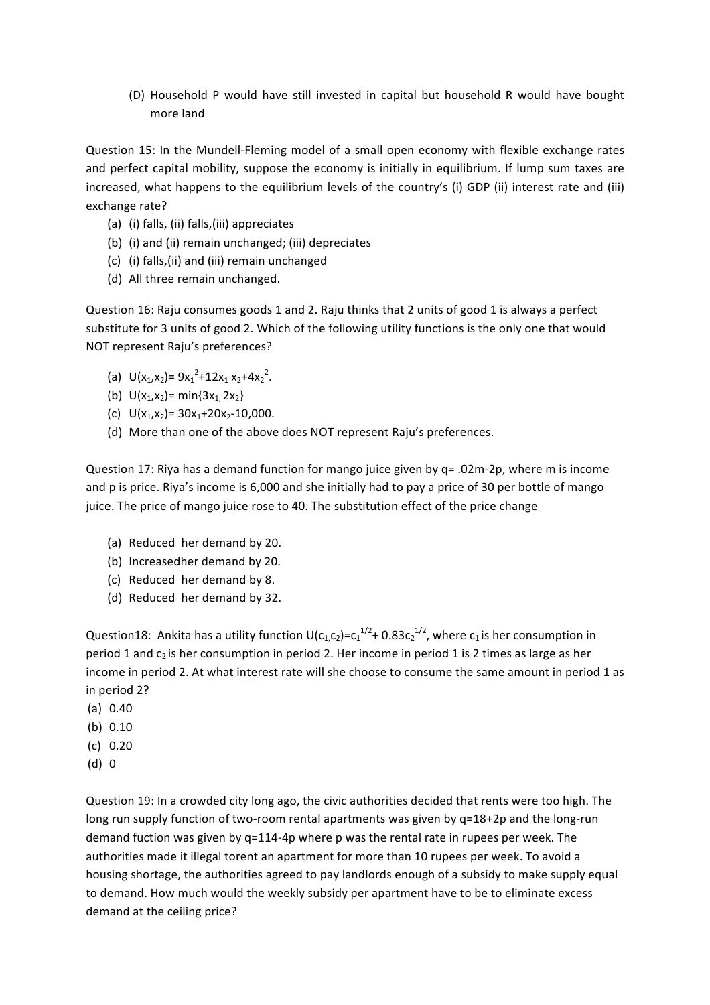(D) Household P would have still invested in capital but household R would have bought more land

Question 15: In the Mundell-Fleming model of a small open economy with flexible exchange rates and perfect capital mobility, suppose the economy is initially in equilibrium. If lump sum taxes are increased, what happens to the equilibrium levels of the country's (i) GDP (ii) interest rate and (iii) exchange rate?

- (a) (i) falls, (ii) falls, (iii) appreciates
- (b) (i) and (ii) remain unchanged; (iii) depreciates
- (c) (i) falls,(ii) and (iii) remain unchanged
- (d) All three remain unchanged.

Question 16: Raju consumes goods 1 and 2. Raju thinks that 2 units of good 1 is always a perfect substitute for 3 units of good 2. Which of the following utility functions is the only one that would NOT represent Raju's preferences?

- (a)  $U(x_1, x_2) = 9x_1^2 + 12x_1 x_2 + 4x_2^2$ .
- (b)  $U(x_1, x_2) = min\{3x_1, 2x_2\}$
- (c)  $U(x_1, x_2) = 30x_1 + 20x_2 10,000$ .
- (d) More than one of the above does NOT represent Raju's preferences.

Question 17: Riya has a demand function for mango juice given by  $q = .02m-2p$ , where m is income and p is price. Riya's income is 6,000 and she initially had to pay a price of 30 per bottle of mango juice. The price of mango juice rose to 40. The substitution effect of the price change

- (a) Reduced her demand by 20.
- (b) Increasedher demand by 20.
- (c) Reduced her demand by 8.
- (d) Reduced her demand by 32.

Question18: Ankita has a utility function U(c<sub>1,</sub>c<sub>2</sub>)=c<sub>1</sub><sup>1/2</sup>+0.83c<sub>2</sub><sup>1/2</sup>, where c<sub>1</sub> is her consumption in period 1 and  $c_2$  is her consumption in period 2. Her income in period 1 is 2 times as large as her income in period 2. At what interest rate will she choose to consume the same amount in period 1 as in period 2?

- (a) 0.40
- (b) 0.10
- (c) 0.20
- (d) 0

Question 19: In a crowded city long ago, the civic authorities decided that rents were too high. The long run supply function of two-room rental apartments was given by q=18+2p and the long-run demand fuction was given by  $q=114-4p$  where p was the rental rate in rupees per week. The authorities made it illegal torent an apartment for more than 10 rupees per week. To avoid a housing shortage, the authorities agreed to pay landlords enough of a subsidy to make supply equal to demand. How much would the weekly subsidy per apartment have to be to eliminate excess demand at the ceiling price?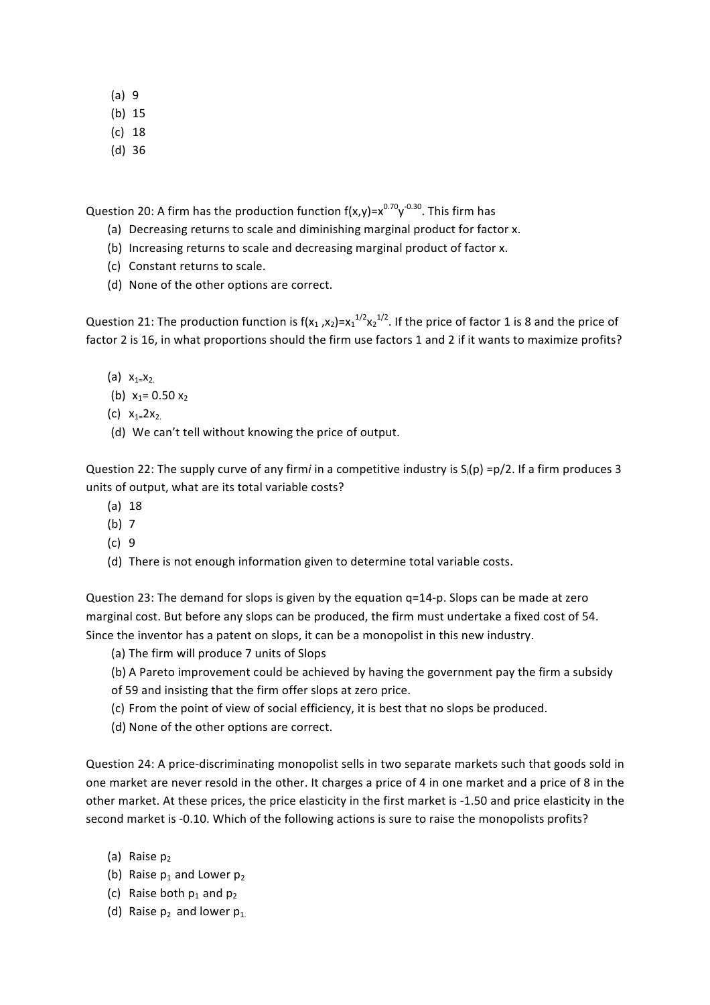- (a) 9
- (b) 15
- (c) 18
- (d) 36

Question 20: A firm has the production function f(x,y)=x $^{0.70}$ y $^{0.30}$ . This firm has

- (a) Decreasing returns to scale and diminishing marginal product for factor x.
- (b) Increasing returns to scale and decreasing marginal product of factor x.
- (c) Constant returns to scale.
- (d) None of the other options are correct.

Question 21: The production function is f(x<sub>1</sub>,x<sub>2</sub>)=x<sub>1</sub><sup>1/2</sup>x<sub>2</sub><sup>1/2</sup>. If the price of factor 1 is 8 and the price of factor 2 is 16, in what proportions should the firm use factors 1 and 2 if it wants to maximize profits?

- (a)  $x_{1}=x_{2}$ .
- (b)  $x_1 = 0.50 x_2$
- (c)  $x_{1} = 2x_{2}$ .
- (d) We can't tell without knowing the price of output.

Question 22: The supply curve of any firm*i* in a competitive industry is  $S_i(p) = p/2$ . If a firm produces 3 units of output, what are its total variable costs?

- (a) 18
- (b) 7
- (c) 9
- (d) There is not enough information given to determine total variable costs.

Question 23: The demand for slops is given by the equation  $q=14-p$ . Slops can be made at zero marginal cost. But before any slops can be produced, the firm must undertake a fixed cost of 54. Since the inventor has a patent on slops, it can be a monopolist in this new industry.

- (a) The firm will produce 7 units of Slops
- (b) A Pareto improvement could be achieved by having the government pay the firm a subsidy
- of 59 and insisting that the firm offer slops at zero price.
- (c) From the point of view of social efficiency, it is best that no slops be produced.
- (d) None of the other options are correct.

Question 24: A price-discriminating monopolist sells in two separate markets such that goods sold in one market are never resold in the other. It charges a price of 4 in one market and a price of 8 in the other market. At these prices, the price elasticity in the first market is -1.50 and price elasticity in the second market is -0.10. Which of the following actions is sure to raise the monopolists profits?

- (a) Raise  $p_2$
- (b) Raise  $p_1$  and Lower  $p_2$
- (c) Raise both  $p_1$  and  $p_2$
- (d) Raise  $p_2$  and lower  $p_1$ .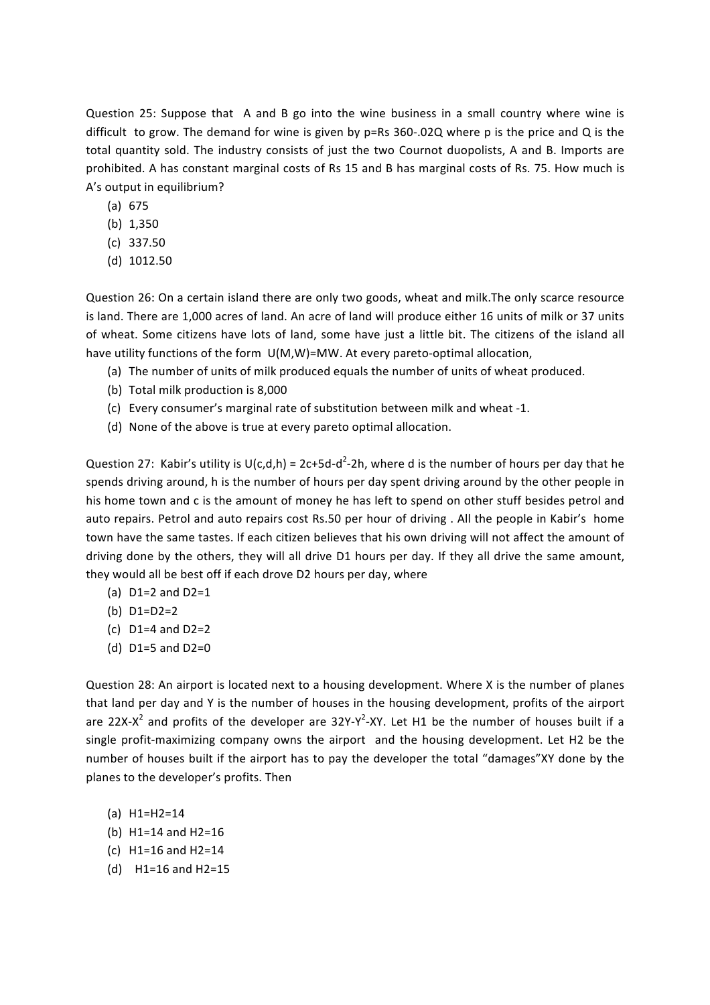Question 25: Suppose that A and B go into the wine business in a small country where wine is difficult to grow. The demand for wine is given by  $p = Rs \, 360 - .02Q$  where p is the price and Q is the total quantity sold. The industry consists of just the two Cournot duopolists, A and B. Imports are prohibited. A has constant marginal costs of Rs 15 and B has marginal costs of Rs. 75. How much is A's output in equilibrium?

- (a) 675
- (b) 1,350
- (c) 337.50
- (d) 1012.50

Question 26: On a certain island there are only two goods, wheat and milk.The only scarce resource is land. There are 1,000 acres of land. An acre of land will produce either 16 units of milk or 37 units of wheat. Some citizens have lots of land, some have just a little bit. The citizens of the island all have utility functions of the form  $U(M,W)=M W$ . At every pareto-optimal allocation,

- (a) The number of units of milk produced equals the number of units of wheat produced.
- (b) Total milk production is 8,000
- (c) Every consumer's marginal rate of substitution between milk and wheat -1.
- (d) None of the above is true at every pareto optimal allocation.

Question 27: Kabir's utility is  $U(c,d,h) = 2c+5d-d^2-2h$ , where d is the number of hours per day that he spends driving around, h is the number of hours per day spent driving around by the other people in his home town and c is the amount of money he has left to spend on other stuff besides petrol and auto repairs. Petrol and auto repairs cost Rs.50 per hour of driving. All the people in Kabir's home town have the same tastes. If each citizen believes that his own driving will not affect the amount of driving done by the others, they will all drive D1 hours per day. If they all drive the same amount, they would all be best off if each drove D2 hours per day, where

- (a)  $D1=2$  and  $D2=1$
- (b) D1=D2=2
- (c)  $D1=4$  and  $D2=2$
- (d)  $D1=5$  and  $D2=0$

Question 28: An airport is located next to a housing development. Where X is the number of planes that land per day and Y is the number of houses in the housing development, profits of the airport are 22X-X<sup>2</sup> and profits of the developer are  $32Y-Y^2$ -XY. Let H1 be the number of houses built if a single profit-maximizing company owns the airport and the housing development. Let H2 be the number of houses built if the airport has to pay the developer the total "damages"XY done by the planes to the developer's profits. Then

- (a) H1=H2=14
- (b)  $H1=14$  and  $H2=16$
- $(c)$  H1=16 and H2=14
- $(d)$  H1=16 and H2=15